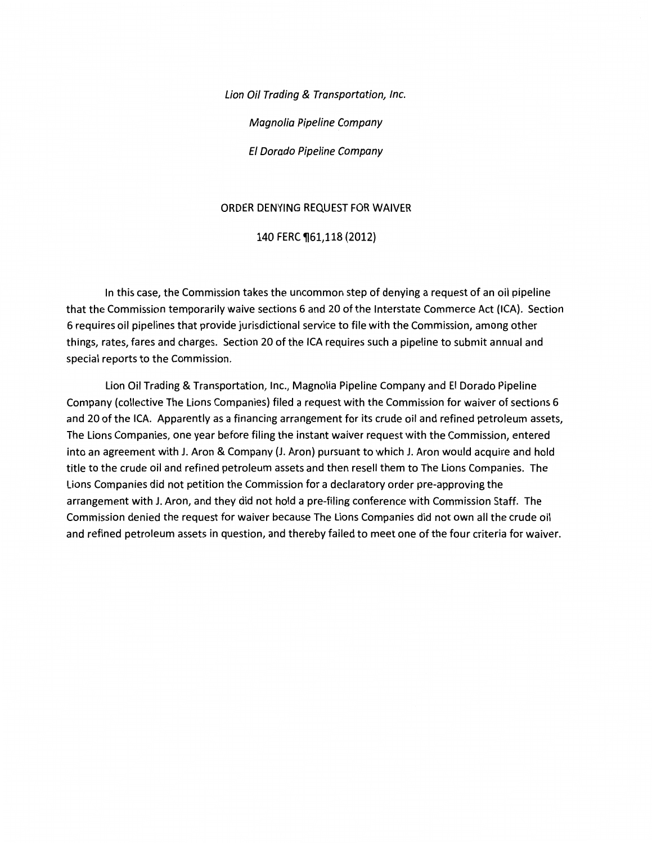Lion Oil Trading & Transportation, Inc. Magnolia Pipeline Company El Dorado Pipeline Company

#### ORDER DENYING REQUEST FOR WAIVER

### 140 FERC ¶61,118 (2012)

In this case, the Commission takes the uncommon step of denying a request of an oil pipeline that the Commission temporarily waive sections 6 and 20 of the Interstate Commerce Act (ICA). Section 6 requires oil pipelines that provide jurisdictional service to file with the Commission, among other things, rates, fares and charges. Section 20 ofthe ICA requires such a pipeline to submit annual and special reports to the Commission.

Lion Oil Trading & Transportation, Inc., Magnolia Pipeline Company and El Dorado Pipeline Company (collective The Lions Companies) filed a request with the Commission for waiver of sections 6 and 20 of the ICA. Apparently as a financing arrangement for its crude oil and refined petroleum assets, The Lions Companies, one year before filing the instant waiver request with the Commission, entered into an agreement with J. Aron & Company (J. Aron) pursuant to which J. Aron would acquire and hold title to the crude oil and refined petroleum assets and then resell them to The Lions Companies. The Lions Companies did not petition the Commission for a declaratory order pre-approving the arrangement with J. Aron, and they did not hold a pre-filing conference with Commission Staff. The Commission denied the request for waiver because The Lions Companies did not own all the crude oil and refined petroleum assets in question, and thereby failed to meet one of the four criteria for waiver.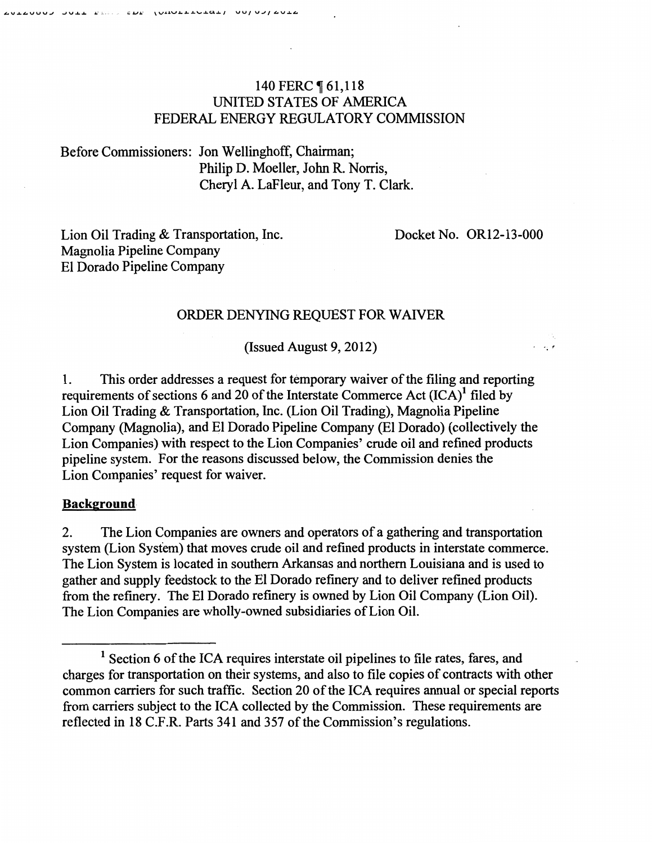# 140 FERC **[61,118** UNITED STATES OF AMERICA FEDERAL ENERGY REGULATORY COMMISSION

Before Commissioners: Jon Wellinghoff, Chairman; Philip D. Moeller, John R. Norris, Cheryl A. LaFleur, and Tony T. Clark.

Lion Oil Trading & Transportation, Inc. Magnolia Pipeline Company El Dorado Pipeline Company

Docket No. OR12-13-000

 $\ddot{r}$ 

### ORDER DENYING REQUEST FOR WAIVER

(Issued August 9, 2012)

1. This order addresses a request for temporary waiver of the filing and reporting requirements of sections 6 and 20 of the Interstate Commerce Act  $(ICA)^1$  filed by Lion Oil Trading & Transportation, Inc. (Lion Oil Trading), Magnolia Pipeline Company (Magnolia), and El Dorado Pipeline Company (El Dorado) (collectively the Lion Companies) with respect to the Lion Companies' crude oil and refined products pipeline system. For the reasons discussed below, the Commission denies the Lion Companies' request for waiver.

#### **Background**

2. The Lion Companies are owners and operators of a gathering and transportation system (Lion System) that moves crude oil and refined products in interstate commerce. The Lion System is located in southern Arkansas and northern Louisiana and is used to gather and supply feedstock to the El Dorado refinery and to deliver refined products from the refinery. The El Dorado refinery is owned by Lion Oil Company (Lion Oil). The Lion Companies are wholly-owned subsidiaries of Lion Oil.

 $<sup>1</sup>$  Section 6 of the ICA requires interstate oil pipelines to file rates, fares, and</sup> charges for transportation on their systems, and also to file copies of contracts with other common carriers for such traffic. Section 20 of the ICA requires annual or special reports from carriers subject to the ICA collected by the Commission. These requirements are reflected in 18 C.F.R. Parts 341 and 357 of the Commission's regulations.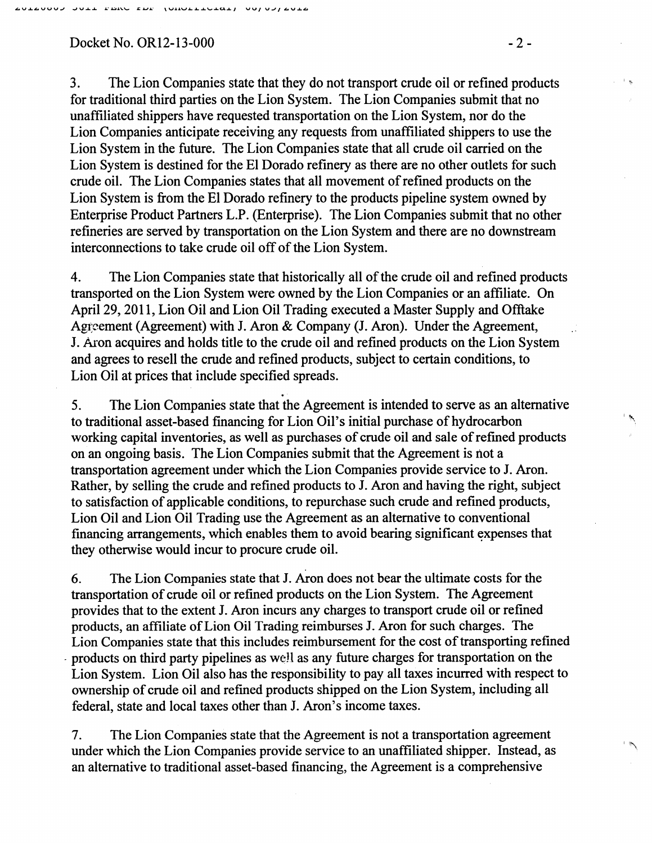#### Docket No. OR12-13-000 -2-

3. The Lion Companies state that they do not transport crude oil or refined products for traditional third parties on the Lion System. The Lion Companies submit that no unaffiliated shippers have requested transportation on the Lion System, nor do the Lion Companies anticipate receiving any requests from unaffiliated shippers to use the Lion System in the future. The Lion Companies state that all crude oil carried on the Lion System is destined for the El Dorado refinery as there are no other outlets for such crude oil. The Lion Companies states that all movement of refined products on the Lion System is from the El Dorado refinery to the products pipeline system owned by Enterprise Product Partners L.P. (Enterprise). The Lion Companies submit that no other refineries are served by transportation on the Lion System and there are no downstream interconnections to take crude oil off of the Lion System.

4. The Lion Companies state that historically all of the crude oil and refined products transported on the Lion System were owned by the Lion Companies or an affiliate. On April29, 2011, Lion Oil and Lion Oil Trading executed a Master Supply and Offtake Agreement (Agreement) with J. Aron & Company (J. Aron). Under the Agreement, J. Aron acquires and holds title to the crude oil and refined products on the Lion System and agrees to resell the crude and refmed products, subject to certain conditions, to Lion Oil at prices that include specified spreads .

..

5. The Lion Companies state that the Agreement is intended to serve as an alternative to traditional asset-based financing for Lion Oil's initial purchase of hydrocarbon working capital inventories, as well as purchases of crude oil and sale of refined products on an ongoing basis. The Lion Companies submit that the Agreement is not a transportation agreement under which the Lion Companies provide service to J. Aron. Rather, by selling the crude and refined products to J. Aron and having the right, subject to satisfaction of applicable conditions, to repurchase such crude and refined products, Lion Oil and Lion Oil Trading use the Agreement as an alternative to conventional financing arrangements, which enables them to avoid bearing significant expenses that they otherwise would incur to procure crude oil.

6. The Lion Companies state that J. Aron does not bear the ultimate costs for the transportation of crude oil or refmed products on the Lion System. The Agreement provides that to the extent J. Aron incurs any charges to transport crude oil or refined products, an affiliate of Lion Oil Trading reimburses J. Aron for such charges. The Lion Companies state that this includes reimbursement for the cost of transporting refined . products on third party pipelines as well as any future charges for transportation on the Lion System. Lion Oil also has the responsibility to pay all taxes incurred with respect to ownership of crude oil and refmed products shipped on the Lion System, including all federal, state and local taxes other than J. Aron's income taxes.

7. The Lion Companies state that the Agreement is not a transportation agreement under which the Lion Companies provide service to an unaffiliated shipper. Instead, as an alternative to traditional asset-based financing, the Agreement is a comprehensive

 $\mathbb{R}^+$ 

 $\mathcal{L}$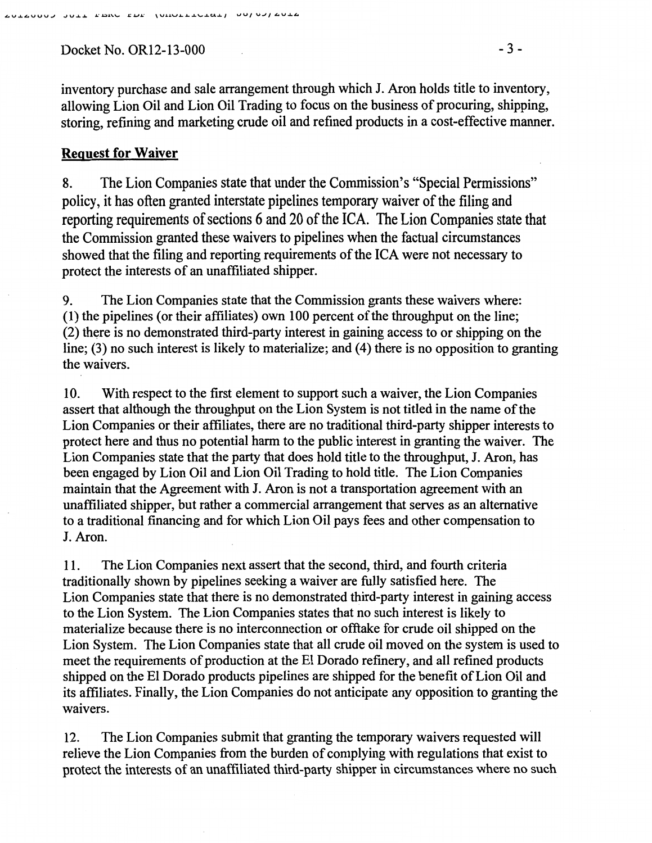Docket No. OR12-13-000 - 3 -

## Request for Waiver

8. The Lion Companies state that under the Commission's "Special Permissions" policy, it has often granted interstate pipelines temporary waiver of the filing and reporting requirements of sections 6 and 20 of the ICA. The Lion Companies state that the Commission granted these waivers to pipelines when the factual circumstances showed that the filing and reporting requirements of the ICA were not necessary to protect the interests of an unaffiliated shipper.

9. The Lion Companies state that the Commission grants these waivers where: (1) the pipelines (or their affiliates) own 100 percent of the throughput on the line; (2) there is no demonstrated third-party interest in gaining access to or shipping on the line; (3) no such interest is likely to materialize; and (4) there is no opposition to granting the waivers.

10. With respect to the first element to support such a waiver, the Lion Companies assert that although the throughput on the Lion System is not titled in the name of the Lion Companies or their affiliates, there are no traditional third-party shipper interests to protect here and thus no potential harm to the public interest in granting the waiver. The Lion Companies state that the party that does hold title to the throughput, J. Aron, has been engaged by Lion Oil and Lion Oil Trading to hold title. The Lion Companies maintain that the Agreement with J. Aron is not a transportation agreement with an unaffiliated shipper, but rather a commercial arrangement that serves as an alternative to a traditional financing and for which Lion Oil pays fees and other compensation to J. Aron.

11. The Lion Companies next assert that the second, third, and fourth criteria traditionally shown by pipelines seeking a waiver are fully satisfied here. The Lion Companies state that there is no demonstrated third-party interest in gaining access to the Lion System. The Lion Companies states that no such interest is likely to materialize because there is no interconnection or offtake for crude oil shipped on the Lion System. The Lion Companies state that all crude oil moved on the system is used to meet the requirements of production at the El Dorado refinery, and all refined products shipped on the El Dorado products pipelines are shipped for the benefit of Lion Oil and its affiliates. Finally, the Lion Companies do not anticipate any opposition to granting the waivers.

12. The Lion Companies submit that granting the temporary waivers requested will relieve the Lion Companies from the burden of complying with regulations that exist to protect the interests of an unaffiliated third-party shipper in circumstances where no such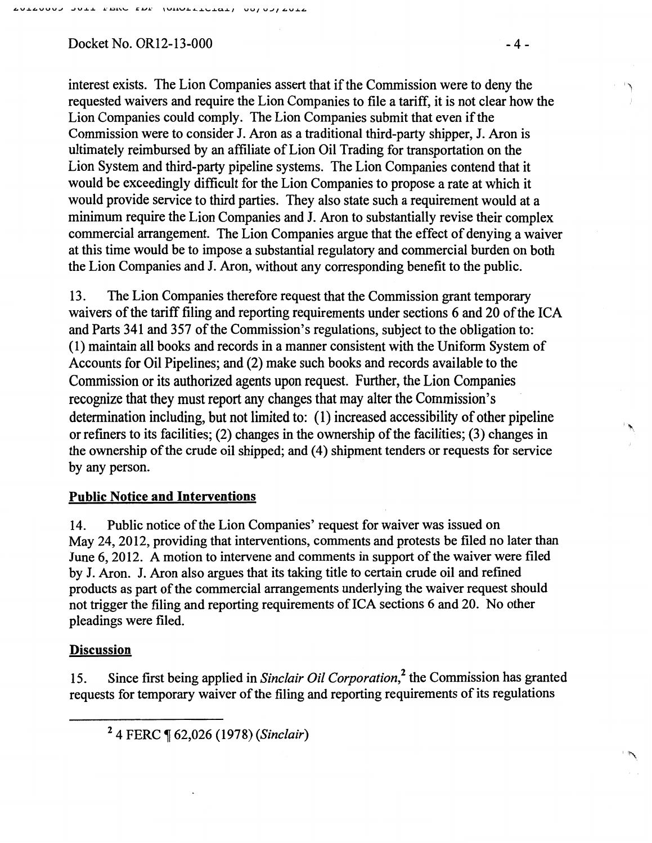### $Dacket No. OR12-13-000$   $-4-$

interest exists. The Lion Companies assert that if the Commission were to deny the requested waivers and require the Lion Companies to file a tariff, it is not clear how the Lion Companies could comply. The Lion Companies submit that even if the Commission were to consider J. Aron as a traditional third-party shipper, J. Aron is ultimately reimbursed by an affiliate of Lion Oil Trading for transportation on the Lion System and third-party pipeline systems. The Lion Companies contend that it would be exceedingly difficult for the Lion Companies to propose a rate at which it would provide service to third parties. They also state such a requirement would at a minimum require the Lion Companies and J. Aron to substantially revise their complex commercial arrangement. The Lion Companies argue that the effect of denying a waiver at this time would be to impose a substantial regulatory and commercial burden on both the Lion Companies and J. Aron, without any corresponding benefit to the public.

13. The Lion Companies therefore request that the Commission grant temporary waivers of the tariff filing and reporting requirements under sections 6 and 20 of the ICA and Parts 341 and 357 of the Commission's regulations, subject to the obligation to: (1) maintain all books and records in a manner consistent with the Uniform System of Accounts for Oil Pipelines; and (2) make such books and records available to the Commission or its authorized agents upon request. Further, the Lion Companies recognize that they must report any changes that may alter the Commission's determination including, but not limited to: (I) increased accessibility of other pipeline or refmers to its facilities; (2) changes in the ownership of the facilities; (3) changes in the ownership of the crude oil shipped; and (4) shipment tenders or requests for service by any person.

#### Public Notice and Interventions

14. Public notice of the Lion Companies' request for waiver was issued on May 24,2012, providing that interventions, comments and protests be filed no later than June 6, 2012. A motion to intervene and comments in support of the waiver were filed by J. Aron. J. Aron also argues that its taking title to certain crude oil and refmed products as part of the commercial arrangements underlying the waiver request should not trigger the filing and reporting requirements of ICA sections 6 and 20. No other pleadings were filed.

#### **Discussion**

15. Since first being applied in *Sinclair Oil Corporation,2* the Commission has granted requests for temporary waiver of the filing and reporting requirements of its regulations

'')

 $\ddot{\phantom{1}}$ 

<sup>2 4</sup> FERC, 62,026 (1978) *(Sinclair)*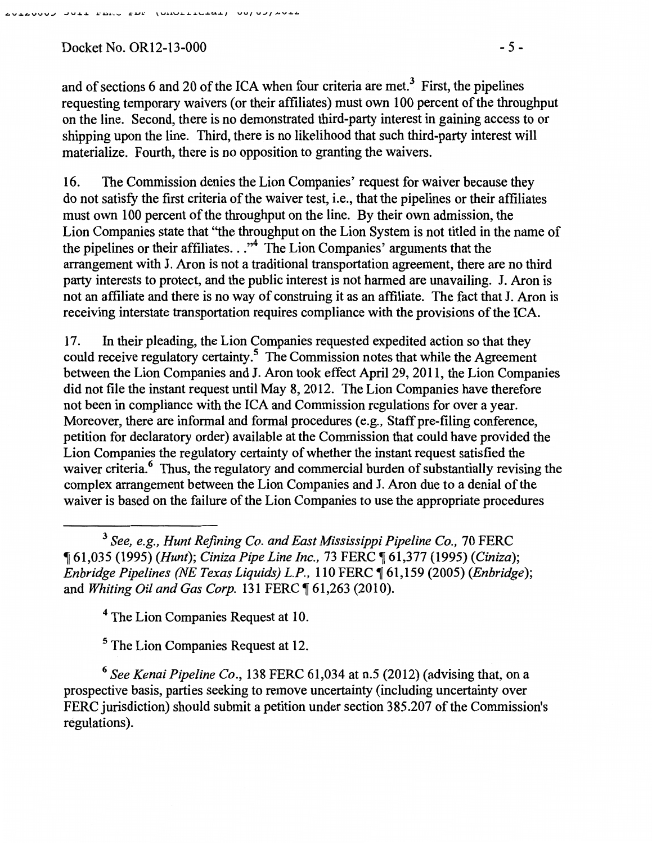Docket No. OR12-13-000 - 5 -

and of sections 6 and 20 of the ICA when four criteria are met.<sup>3</sup> First, the pipelines requesting temporary waivers (or their affiliates) must own 100 percent of the throughput on the line. Second, there is no demonstrated third-party interest in gaining access to or shipping upon the line. Third, there is no likelihood that such third-party interest will materialize. Fourth, there is no opposition to granting the waivers.

16. The Commission denies the Lion Companies' request for waiver because they do not satisfy the first criteria of the waiver test, i.e., that the pipelines or their affiliates must own 100 percent of the throughput on the line. By their own admission, the Lion Companies state that "the throughput on the Lion System is not titled in the name of the pipelines or their affiliates..."<sup>4</sup> The Lion Companies' arguments that the arrangement with J. Aron is not a traditional transportation agreement, there are no third party interests to protect, and the public interest is not harmed are unavailing. J. Aron is not an affiliate and there is no way of construing it as an affiliate. The fact that J. Aron is receiving interstate transportation requires compliance with the provisions of the ICA.

17. In their pleading, the Lion Companies requested expedited action so that they could receive regulatory certainty.5 The Commission notes that while the Agreement between the Lion Companies and J. Aron took effect April 29,2011, the Lion Companies did not file the instant request until May 8, 2012. The Lion Companies have therefore not been in compliance with the ICA and Commission regulations for over a year. Moreover, there are informal and formal procedures (e.g., Staff pre-filing conference, petition for declaratory order) available at the Commission that could have provided the Lion Companies the regulatory certainty of whether the instant request satisfied the waiver criteria.<sup>6</sup> Thus, the regulatory and commercial burden of substantially revising the complex arrangement between the Lion Companies and J. Aron due to a denial of the waiver is based on the failure of the Lion Companies to use the appropriate procedures

<sup>3</sup>*See, e.g., Hunt Refining Co. and East Mississippi Pipeline Co.,* 70 FERC <sup>~</sup>61,035 (1995) *(Hunt); Ciniza Pipe Line Inc.,* 73 FERC ~ 61,377 (1995) *(Ciniza); Enbridge Pipelines (NE Texas Liquids) L.P.,* 110 FERC ~ 61,159 (2005) *(Enbridge);*  and *Whiting Oil and Gas Corp.* 131 FERC ¶ 61,263 (2010).

<sup>4</sup> The Lion Companies Request at 10.

5 The Lion Companies Request at 12.

<sup>6</sup>*See Kenai Pipeline Co.,* 138 FERC 61,034 at n.5 (2012) (advising that, on a prospective basis, parties seeking to remove uncertainty (including uncertainty over FERC jurisdiction) should submit a petition under section 385.207 of the Commission's regulations).